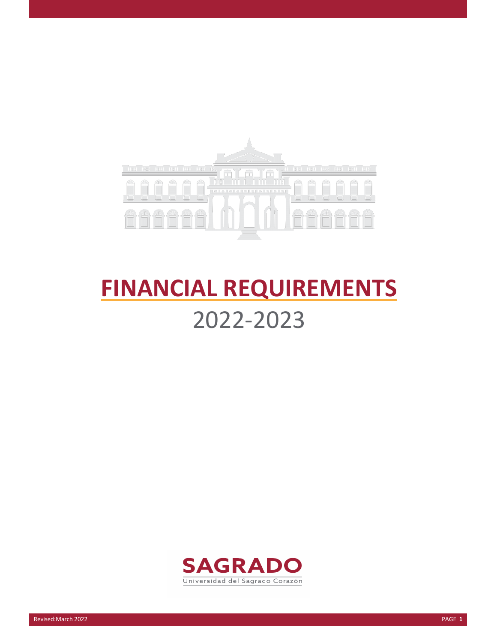

# **FINANCIAL REQUIREMENTS** 2022-2023

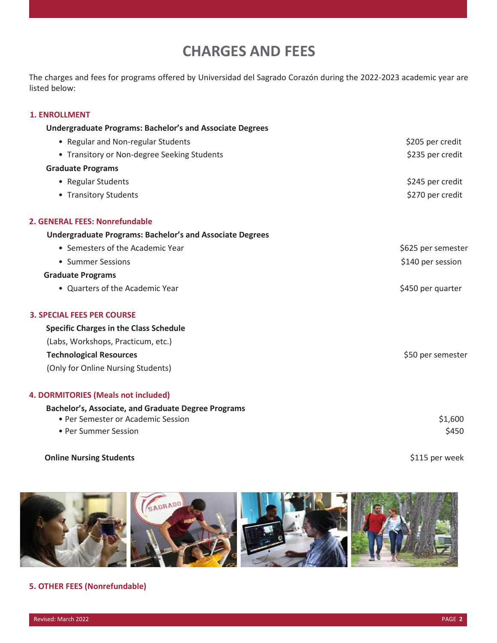## **CHARGES AND FEES**

The charges and fees for programs offered by Universidad del Sagrado Corazón during the 2022-2023 academic year are listed below:

#### **1. ENROLLMENT**

| <b>Undergraduate Programs: Bachelor's and Associate Degrees</b> |                    |
|-----------------------------------------------------------------|--------------------|
| • Regular and Non-regular Students                              | \$205 per credit   |
| • Transitory or Non-degree Seeking Students                     | \$235 per credit   |
| <b>Graduate Programs</b>                                        |                    |
| • Regular Students                                              | \$245 per credit   |
| • Transitory Students                                           | \$270 per credit   |
| 2. GENERAL FEES: Nonrefundable                                  |                    |
| <b>Undergraduate Programs: Bachelor's and Associate Degrees</b> |                    |
| • Semesters of the Academic Year                                | \$625 per semester |
| • Summer Sessions                                               | \$140 per session  |
| <b>Graduate Programs</b>                                        |                    |
| • Quarters of the Academic Year                                 | \$450 per quarter  |
| <b>3. SPECIAL FEES PER COURSE</b>                               |                    |
| <b>Specific Charges in the Class Schedule</b>                   |                    |
| (Labs, Workshops, Practicum, etc.)                              |                    |
| <b>Technological Resources</b>                                  | \$50 per semester  |
| (Only for Online Nursing Students)                              |                    |
| 4. DORMITORIES (Meals not included)                             |                    |
| Bachelor's, Associate, and Graduate Degree Programs             |                    |
| • Per Semester or Academic Session                              | \$1,600            |
| • Per Summer Session                                            | \$450              |
|                                                                 |                    |

#### **Online Nursing Students by a student of the Students**  $\frac{1}{2}$  \$115 per week



## **5. OTHER FEES (Nonrefundable)**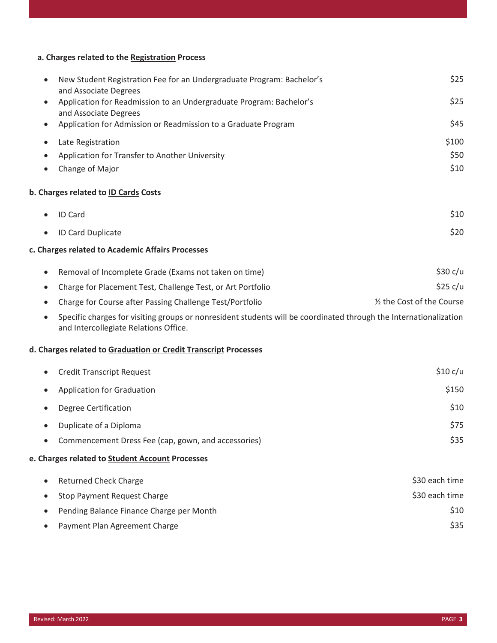## **a. Charges related to the Registration Process**

| $\bullet$ | New Student Registration Fee for an Undergraduate Program: Bachelor's                                                                                      | \$25                       |
|-----------|------------------------------------------------------------------------------------------------------------------------------------------------------------|----------------------------|
| $\bullet$ | and Associate Degrees<br>Application for Readmission to an Undergraduate Program: Bachelor's                                                               | \$25                       |
|           | and Associate Degrees                                                                                                                                      |                            |
|           | Application for Admission or Readmission to a Graduate Program                                                                                             | \$45                       |
| $\bullet$ | Late Registration                                                                                                                                          | \$100                      |
|           | Application for Transfer to Another University                                                                                                             | \$50                       |
|           | Change of Major                                                                                                                                            | \$10                       |
|           | b. Charges related to <b>ID Cards Costs</b>                                                                                                                |                            |
|           | ID Card                                                                                                                                                    | \$10                       |
| $\bullet$ | ID Card Duplicate                                                                                                                                          | \$20                       |
|           | c. Charges related to <b>Academic Affairs Processes</b>                                                                                                    |                            |
| $\bullet$ | Removal of Incomplete Grade (Exams not taken on time)                                                                                                      | \$30 c/u                   |
| $\bullet$ | Charge for Placement Test, Challenge Test, or Art Portfolio                                                                                                | \$25 c/u                   |
|           | Charge for Course after Passing Challenge Test/Portfolio                                                                                                   | 1/2 the Cost of the Course |
| $\bullet$ | Specific charges for visiting groups or nonresident students will be coordinated through the Internationalization<br>and Intercollegiate Relations Office. |                            |
|           | d. Charges related to Graduation or Credit Transcript Processes                                                                                            |                            |
| $\bullet$ | <b>Credit Transcript Request</b>                                                                                                                           | \$10 c/u                   |
| $\bullet$ | <b>Application for Graduation</b>                                                                                                                          | \$150                      |
|           | <b>Degree Certification</b>                                                                                                                                | \$10                       |
|           | Duplicate of a Diploma                                                                                                                                     | \$75                       |
|           | Commencement Dress Fee (cap, gown, and accessories)                                                                                                        | \$35                       |
|           | e. Charges related to Student Account Processes                                                                                                            |                            |
| $\bullet$ | <b>Returned Check Charge</b>                                                                                                                               | \$30 each time             |
|           | <b>Stop Payment Request Charge</b>                                                                                                                         | \$30 each time             |
|           | Pending Balance Finance Charge per Month                                                                                                                   | \$10                       |
|           | Payment Plan Agreement Charge                                                                                                                              | \$35                       |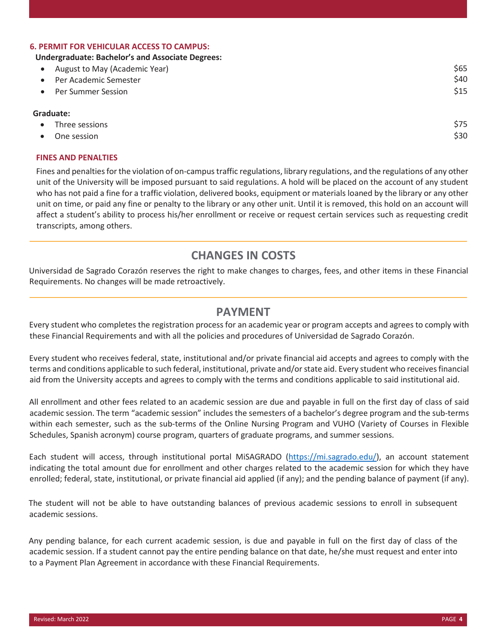#### **6. PERMIT FOR VEHICULAR ACCESS TO CAMPUS:**

#### **Undergraduate: Bachelor's and Associate Degrees:**

| August to May (Academic Year) | \$65 |  |  |
|-------------------------------|------|--|--|
| Per Academic Semester         | \$40 |  |  |
| <b>Per Summer Session</b>     | \$15 |  |  |
| Graduate:                     |      |  |  |

|           | • Three sessions | \$75 |
|-----------|------------------|------|
| $\bullet$ | One session      | \$30 |

#### **FINES AND PENALTIES**

Fines and penalties for the violation of on-campus traffic regulations, library regulations, and the regulations of any other unit of the University will be imposed pursuant to said regulations. A hold will be placed on the account of any student who has not paid a fine for a traffic violation, delivered books, equipment or materials loaned by the library or any other unit on time, or paid any fine or penalty to the library or any other unit. Until it is removed, this hold on an account will affect a student's ability to process his/her enrollment or receive or request certain services such as requesting credit transcripts, among others.

## **CHANGES IN COSTS**

Universidad de Sagrado Corazón reserves the right to make changes to charges, fees, and other items in these Financial Requirements. No changes will be made retroactively.

#### **PAYMENT**

Every student who completes the registration process for an academic year or program accepts and agrees to comply with these Financial Requirements and with all the policies and procedures of Universidad de Sagrado Corazón.

Every student who receives federal, state, institutional and/or private financial aid accepts and agrees to comply with the terms and conditions applicable to such federal, institutional, private and/or state aid. Every student who receives financial aid from the University accepts and agrees to comply with the terms and conditions applicable to said institutional aid.

All enrollment and other fees related to an academic session are due and payable in full on the first day of class of said academic session. The term "academic session" includes the semesters of a bachelor's degree program and the sub-terms within each semester, such as the sub-terms of the Online Nursing Program and VUHO (Variety of Courses in Flexible Schedules, Spanish acronym) course program, quarters of graduate programs, and summer sessions.

Each student will access, through institutional portal MiSAGRADO [\(https://mi.sagrado.edu/\)](https://mi.sagrado.edu/), an account statement indicating the total amount due for enrollment and other charges related to the academic session for which they have enrolled; federal, state, institutional, or private financial aid applied (if any); and the pending balance of payment (if any).

The student will not be able to have outstanding balances of previous academic sessions to enroll in subsequent academic sessions.

Any pending balance, for each current academic session, is due and payable in full on the first day of class of the academic session. If a student cannot pay the entire pending balance on that date, he/she must request and enter into to a Payment Plan Agreement in accordance with these Financial Requirements.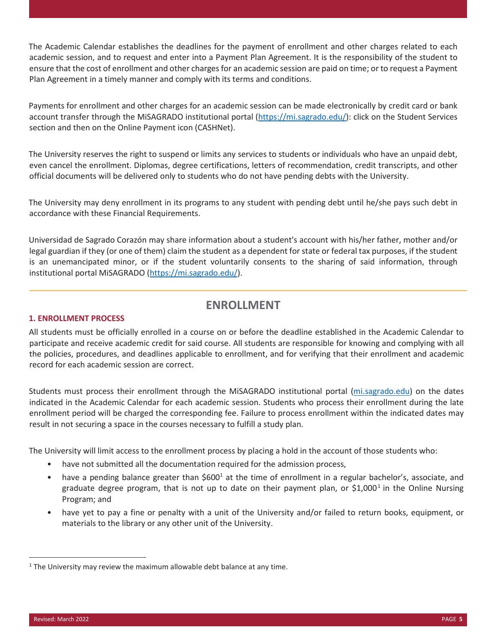The Academic Calendar establishes the deadlines for the payment of enrollment and other charges related to each academic session, and to request and enter into a Payment Plan Agreement. It is the responsibility of the student to ensure that the cost of enrollment and other charges for an academic session are paid on time; or to request a Payment Plan Agreement in a timely manner and comply with its terms and conditions.

Payments for enrollment and other charges for an academic session can be made electronically by credit card or bank account transfer through the MiSAGRADO institutional portal [\(https://mi.sagrado.edu/\)](https://mi.sagrado.edu/): click on the Student Services section and then on the Online Payment icon (CASHNet).

The University reserves the right to suspend or limits any services to students or individuals who have an unpaid debt, even cancel the enrollment. Diplomas, degree certifications, letters of recommendation, credit transcripts, and other official documents will be delivered only to students who do not have pending debts with the University.

The University may deny enrollment in its programs to any student with pending debt until he/she pays such debt in accordance with these Financial Requirements.

Universidad de Sagrado Corazón may share information about a student's account with his/her father, mother and/or legal guardian if they (or one of them) claim the student as a dependent for state or federal tax purposes, if the student is an unemancipated minor, or if the student voluntarily consents to the sharing of said information, through institutional portal MiSAGRADO [\(https://mi.sagrado.edu/\)](https://mi.sagrado.edu/).

## <span id="page-4-0"></span>**ENROLLMENT**

#### **1. ENROLLMENT PROCESS**

All students must be officially enrolled in a course on or before the deadline established in the Academic Calendar to participate and receive academic credit for said course. All students are responsible for knowing and complying with all the policies, procedures, and deadlines applicable to enrollment, and for verifying that their enrollment and academic record for each academic session are correct.

Students must process their enrollment through the MiSAGRADO institutional portal (mi.sagrado.edu) on the dates indicated in the Academic Calendar for each academic session. Students who process their enrollment during the late enrollment period will be charged the corresponding fee. Failure to process enrollment within the indicated dates may result in not securing a space in the courses necessary to fulfill a study plan.

The University will limit access to the enrollment process by placing a hold in the account of those students who:

- have not submitted all the documentation required for the admission process,
- have a pending balance greater than \$600<sup>1</sup> at the time of enrollment in a regular bachelor's, associate, and graduate degree program, that is not up to date on their payment plan, or \$[1](#page-4-1),000<sup>1</sup> in the Online Nursing Program; and
- have yet to pay a fine or penalty with a unit of the University and/or failed to return books, equipment, or materials to the library or any other unit of the University.

<span id="page-4-1"></span> $1$  The University may review the maximum allowable debt balance at any time.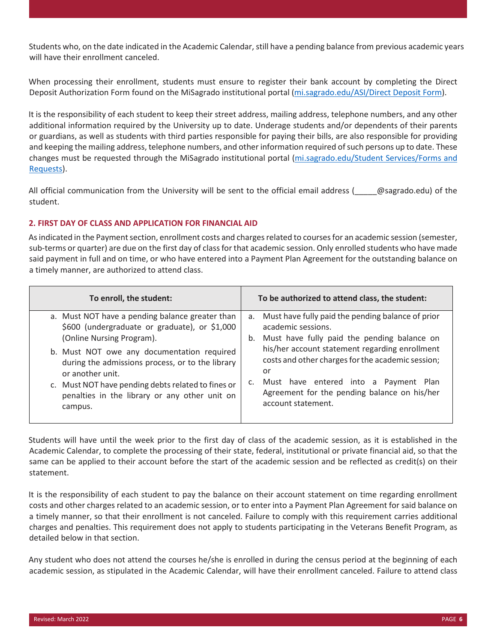Students who, on the date indicated in the Academic Calendar, still have a pending balance from previous academic years will have their enrollment canceled.

When processing their enrollment, students must ensure to register their bank account by completing the Direct Deposit Authorization Form found on the MiSagrado institutional portal (mi.sagrado.edu/ASI/Direct Deposit Form).

It is the responsibility of each student to keep their street address, mailing address, telephone numbers, and any other additional information required by the University up to date. Underage students and/or dependents of their parents or guardians, as well as students with third parties responsible for paying their bills, are also responsible for providing and keeping the mailing address, telephone numbers, and other information required of such persons up to date. These changes must be requested through the MiSagrado institutional portal (mi.sagrado.edu/Student Services/Forms and Requests).

All official communication from the University will be sent to the official email address ( $\Box$  @sagrado.edu) of the student.

#### **2. FIRST DAY OF CLASS AND APPLICATION FOR FINANCIAL AID**

As indicated in the Payment section, enrollment costs and charges related to courses for an academic session (semester, sub-terms or quarter) are due on the first day of class for that academic session. Only enrolled students who have made said payment in full and on time, or who have entered into a Payment Plan Agreement for the outstanding balance on a timely manner, are authorized to attend class.

| To enroll, the student:                                                                                                                                                                                                                                                                                                                                               | To be authorized to attend class, the student:                                                                                                                                                                                                                                                                                                              |
|-----------------------------------------------------------------------------------------------------------------------------------------------------------------------------------------------------------------------------------------------------------------------------------------------------------------------------------------------------------------------|-------------------------------------------------------------------------------------------------------------------------------------------------------------------------------------------------------------------------------------------------------------------------------------------------------------------------------------------------------------|
| a. Must NOT have a pending balance greater than<br>\$600 (undergraduate or graduate), or \$1,000<br>(Online Nursing Program).<br>b. Must NOT owe any documentation required<br>during the admissions process, or to the library<br>or another unit.<br>c. Must NOT have pending debts related to fines or<br>penalties in the library or any other unit on<br>campus. | a. Must have fully paid the pending balance of prior<br>academic sessions.<br>Must have fully paid the pending balance on<br>b.<br>his/her account statement regarding enrollment<br>costs and other charges for the academic session;<br>or<br>Must have entered into a Payment Plan<br>Agreement for the pending balance on his/her<br>account statement. |

Students will have until the week prior to the first day of class of the academic session, as it is established in the Academic Calendar, to complete the processing of their state, federal, institutional or private financial aid, so that the same can be applied to their account before the start of the academic session and be reflected as credit(s) on their statement.

It is the responsibility of each student to pay the balance on their account statement on time regarding enrollment costs and other charges related to an academic session, or to enter into a Payment Plan Agreement for said balance on a timely manner, so that their enrollment is not canceled. Failure to comply with this requirement carries additional charges and penalties. This requirement does not apply to students participating in the Veterans Benefit Program, as detailed below in that section.

Any student who does not attend the courses he/she is enrolled in during the census period at the beginning of each academic session, as stipulated in the Academic Calendar, will have their enrollment canceled. Failure to attend class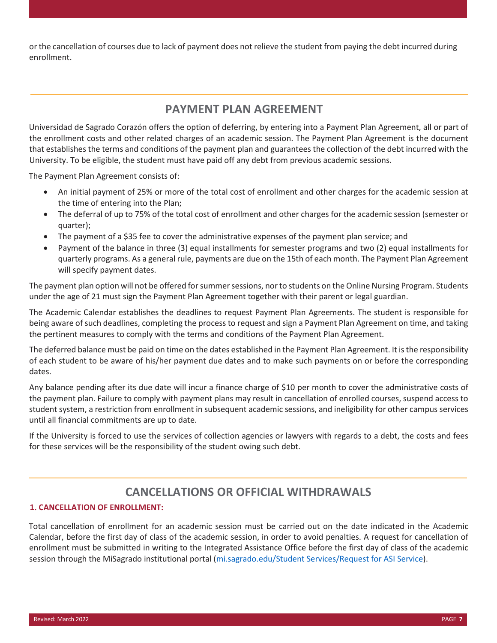or the cancellation of courses due to lack of payment does not relieve the student from paying the debt incurred during enrollment.

## **PAYMENT PLAN AGREEMENT**

Universidad de Sagrado Corazón offers the option of deferring, by entering into a Payment Plan Agreement, all or part of the enrollment costs and other related charges of an academic session. The Payment Plan Agreement is the document that establishes the terms and conditions of the payment plan and guarantees the collection of the debt incurred with the University. To be eligible, the student must have paid off any debt from previous academic sessions.

The Payment Plan Agreement consists of:

- An initial payment of 25% or more of the total cost of enrollment and other charges for the academic session at the time of entering into the Plan;
- The deferral of up to 75% of the total cost of enrollment and other charges for the academic session (semester or quarter);
- The payment of a \$35 fee to cover the administrative expenses of the payment plan service; and
- Payment of the balance in three (3) equal installments for semester programs and two (2) equal installments for quarterly programs. As a general rule, payments are due on the 15th of each month. The Payment Plan Agreement will specify payment dates.

The payment plan option will not be offered for summer sessions, nor to students on the Online Nursing Program. Students under the age of 21 must sign the Payment Plan Agreement together with their parent or legal guardian.

The Academic Calendar establishes the deadlines to request Payment Plan Agreements. The student is responsible for being aware of such deadlines, completing the process to request and sign a Payment Plan Agreement on time, and taking the pertinent measures to comply with the terms and conditions of the Payment Plan Agreement.

The deferred balance must be paid on time on the dates established in the Payment Plan Agreement. It is the responsibility of each student to be aware of his/her payment due dates and to make such payments on or before the corresponding dates.

Any balance pending after its due date will incur a finance charge of \$10 per month to cover the administrative costs of the payment plan. Failure to comply with payment plans may result in cancellation of enrolled courses, suspend access to student system, a restriction from enrollment in subsequent academic sessions, and ineligibility for other campus services until all financial commitments are up to date.

If the University is forced to use the services of collection agencies or lawyers with regards to a debt, the costs and fees for these services will be the responsibility of the student owing such debt.

## **CANCELLATIONS OR OFFICIAL WITHDRAWALS**

#### **1. CANCELLATION OF ENROLLMENT:**

Total cancellation of enrollment for an academic session must be carried out on the date indicated in the Academic Calendar, before the first day of class of the academic session, in order to avoid penalties. A request for cancellation of enrollment must be submitted in writing to the Integrated Assistance Office before the first day of class of the academic session through the MiSagrado institutional portal (mi.sagrado.edu/Student Services/Request for ASI Service).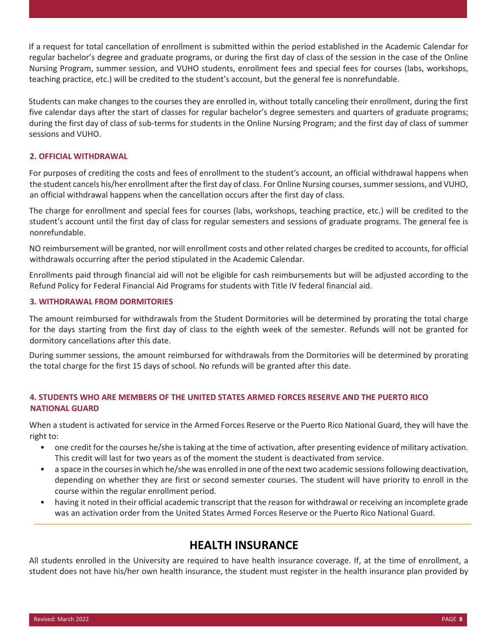If a request for total cancellation of enrollment is submitted within the period established in the Academic Calendar for regular bachelor's degree and graduate programs, or during the first day of class of the session in the case of the Online Nursing Program, summer session, and VUHO students, enrollment fees and special fees for courses (labs, workshops, teaching practice, etc.) will be credited to the student's account, but the general fee is nonrefundable.

Students can make changes to the courses they are enrolled in, without totally canceling their enrollment, during the first five calendar days after the start of classes for regular bachelor's degree semesters and quarters of graduate programs; during the first day of class of sub-terms for students in the Online Nursing Program; and the first day of class of summer sessions and VUHO.

#### **2. OFFICIAL WITHDRAWAL**

For purposes of crediting the costs and fees of enrollment to the student's account, an official withdrawal happens when the student cancels his/her enrollment after the first day of class. For Online Nursing courses, summer sessions, and VUHO, an official withdrawal happens when the cancellation occurs after the first day of class.

The charge for enrollment and special fees for courses (labs, workshops, teaching practice, etc.) will be credited to the student's account until the first day of class for regular semesters and sessions of graduate programs. The general fee is nonrefundable.

NO reimbursement will be granted, nor will enrollment costs and other related charges be credited to accounts, for official withdrawals occurring after the period stipulated in the Academic Calendar.

Enrollments paid through financial aid will not be eligible for cash reimbursements but will be adjusted according to the Refund Policy for Federal Financial Aid Programs for students with Title IV federal financial aid.

#### **3. WITHDRAWAL FROM DORMITORIES**

The amount reimbursed for withdrawals from the Student Dormitories will be determined by prorating the total charge for the days starting from the first day of class to the eighth week of the semester. Refunds will not be granted for dormitory cancellations after this date.

During summer sessions, the amount reimbursed for withdrawals from the Dormitories will be determined by prorating the total charge for the first 15 days of school. No refunds will be granted after this date.

#### **4. STUDENTS WHO ARE MEMBERS OF THE UNITED STATES ARMED FORCES RESERVE AND THE PUERTO RICO NATIONAL GUARD**

When a student is activated for service in the Armed Forces Reserve or the Puerto Rico National Guard, they will have the right to:

- one credit for the courses he/she is taking at the time of activation, after presenting evidence of military activation. This credit will last for two years as of the moment the student is deactivated from service.
- a space in the courses in which he/she was enrolled in one of the next two academic sessions following deactivation, depending on whether they are first or second semester courses. The student will have priority to enroll in the course within the regular enrollment period.
- having it noted in their official academic transcript that the reason for withdrawal or receiving an incomplete grade was an activation order from the United States Armed Forces Reserve or the Puerto Rico National Guard.

## **HEALTH INSURANCE**

All students enrolled in the University are required to have health insurance coverage. If, at the time of enrollment, a student does not have his/her own health insurance, the student must register in the health insurance plan provided by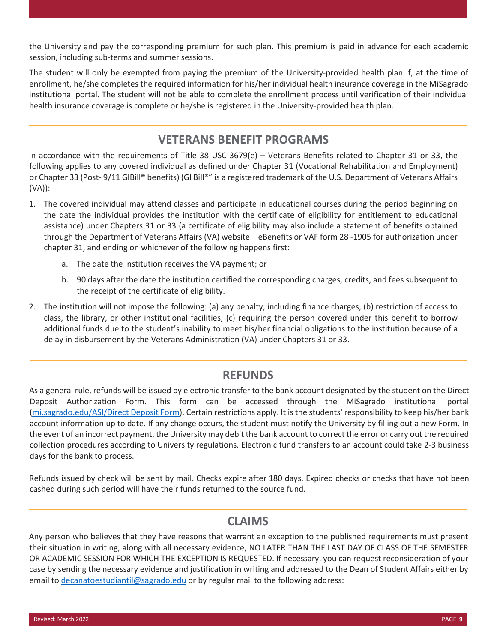the University and pay the corresponding premium for such plan. This premium is paid in advance for each academic session, including sub-terms and summer sessions.

The student will only be exempted from paying the premium of the University-provided health plan if, at the time of enrollment, he/she completes the required information for his/her individual health insurance coverage in the MiSagrado institutional portal. The student will not be able to complete the enrollment process until verification of their individual health insurance coverage is complete or he/she is registered in the University-provided health plan.

## **VETERANS BENEFIT PROGRAMS**

In accordance with the requirements of Title 38 USC 3679(e) – Veterans Benefits related to Chapter 31 or 33, the following applies to any covered individual as defined under Chapter 31 (Vocational Rehabilitation and Employment) or Chapter 33 (Post- 9/11 GIBill® benefits) (GI Bill®" is a registered trademark of the U.S. Department of Veterans Affairs (VA)):

- 1. The covered individual may attend classes and participate in educational courses during the period beginning on the date the individual provides the institution with the certificate of eligibility for entitlement to educational assistance) under Chapters 31 or 33 (a certificate of eligibility may also include a statement of benefits obtained through the Department of Veterans Affairs (VA) website – eBenefits or VAF form 28 -1905 for authorization under chapter 31, and ending on whichever of the following happens first:
	- a. The date the institution receives the VA payment; or
	- b. 90 days after the date the institution certified the corresponding charges, credits, and fees subsequent to the receipt of the certificate of eligibility.
- 2. The institution will not impose the following: (a) any penalty, including finance charges, (b) restriction of access to class, the library, or other institutional facilities, (c) requiring the person covered under this benefit to borrow additional funds due to the student's inability to meet his/her financial obligations to the institution because of a delay in disbursement by the Veterans Administration (VA) under Chapters 31 or 33.

## **REFUNDS**

As a general rule, refunds will be issued by electronic transfer to the bank account designated by the student on the Direct Deposit Authorization Form. This form can be accessed through the MiSagrado institutional portal (mi.sagrado.edu/ASI/Direct Deposit Form). Certain restrictions apply. It is the students' responsibility to keep his/her bank account information up to date. If any change occurs, the student must notify the University by filling out a new Form. In the event of an incorrect payment, the University may debit the bank account to correct the error or carry out the required collection procedures according to University regulations. Electronic fund transfers to an account could take 2-3 business days for the bank to process.

Refunds issued by check will be sent by mail. Checks expire after 180 days. Expired checks or checks that have not been cashed during such period will have their funds returned to the source fund.

## **CLAIMS**

Any person who believes that they have reasons that warrant an exception to the published requirements must present their situation in writing, along with all necessary evidence, NO LATER THAN THE LAST DAY OF CLASS OF THE SEMESTER OR ACADEMIC SESSION FOR WHICH THE EXCEPTION IS REQUESTED. If necessary, you can request reconsideration of your case by sending the necessary evidence and justification in writing and addressed to the Dean of Student Affairs either by email to [decanatoestudiantil@sagrado.edu](mailto:decanatoestudiantil@sagrado.edu) or by regular mail to the following address: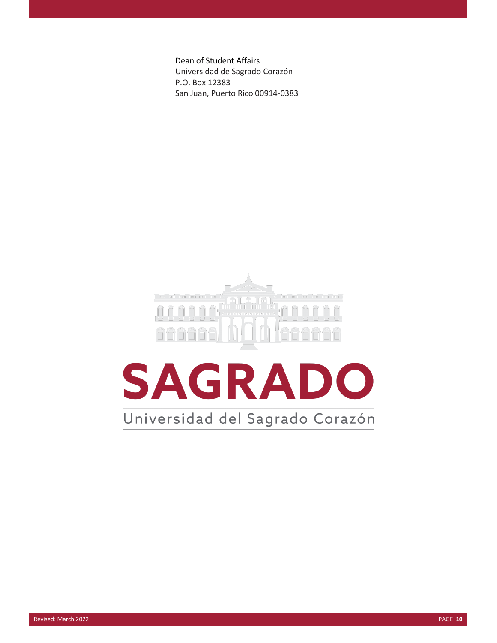Dean of Student Affairs Universidad de Sagrado Corazón P.O. Box 12383 San Juan, Puerto Rico 00914-0383